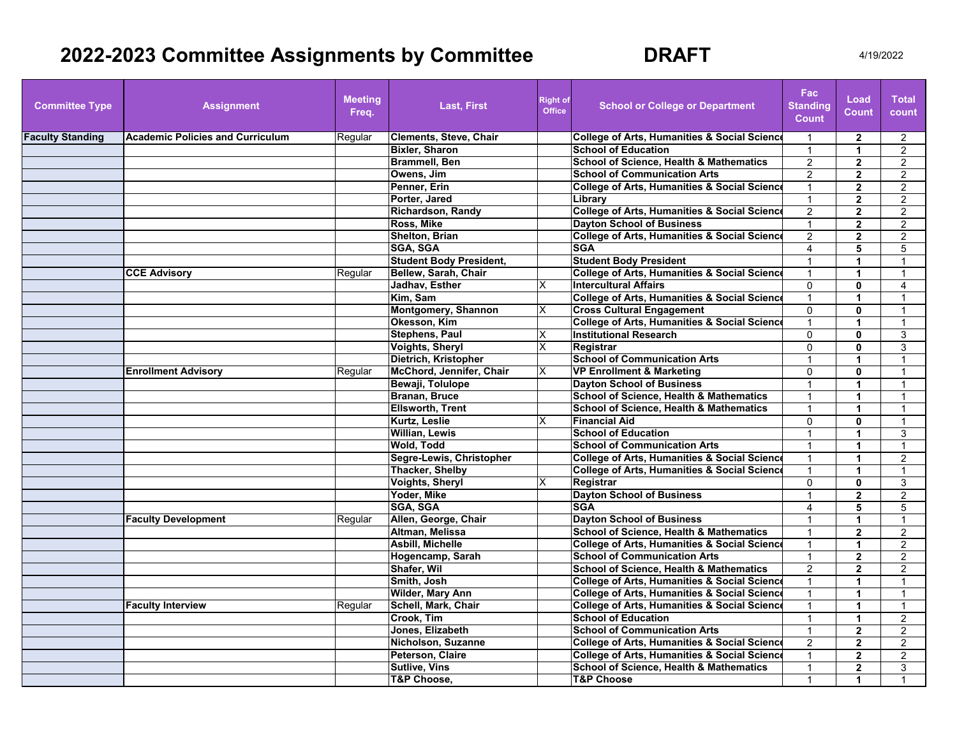# **2022-2023 Committee Assignments by Committee 6 6 6 6 6 6 6 7 4/19/2022**

| <b>Committee Type</b>   | <b>Assignment</b>                       | <b>Meeting</b><br>Freq. | <b>Last, First</b>             | <b>Right of</b><br><b>Office</b> | <b>School or College or Department</b>                  | <b>Fac</b><br><b>Standing</b><br><b>Count</b> | Load<br><b>Count</b> | <b>Total</b><br>count |
|-------------------------|-----------------------------------------|-------------------------|--------------------------------|----------------------------------|---------------------------------------------------------|-----------------------------------------------|----------------------|-----------------------|
| <b>Faculty Standing</b> | <b>Academic Policies and Curriculum</b> | Regular                 | <b>Clements, Steve, Chair</b>  |                                  | College of Arts, Humanities & Social Science            | $\overline{1}$                                | $\overline{2}$       | 2                     |
|                         |                                         |                         | <b>Bixler, Sharon</b>          |                                  | <b>School of Education</b>                              | $\overline{1}$                                | $\mathbf{1}$         | $\overline{2}$        |
|                         |                                         |                         | <b>Brammell, Ben</b>           |                                  | <b>School of Science, Health &amp; Mathematics</b>      | $\overline{2}$                                | $\overline{2}$       | 2                     |
|                         |                                         |                         | Owens, Jim                     |                                  | <b>School of Communication Arts</b>                     | $\overline{2}$                                | $\overline{2}$       | $\overline{2}$        |
|                         |                                         |                         | Penner, Erin                   |                                  | <b>College of Arts, Humanities &amp; Social Science</b> | $\mathbf{1}$                                  | $\mathbf{2}$         | $\overline{2}$        |
|                         |                                         |                         | Porter, Jared                  |                                  | Library                                                 | $\mathbf{1}$                                  | $\mathbf{2}$         | $\overline{2}$        |
|                         |                                         |                         | <b>Richardson, Randy</b>       |                                  | <b>College of Arts, Humanities &amp; Social Science</b> | $\overline{2}$                                | $\overline{2}$       | 2                     |
|                         |                                         |                         | Ross, Mike                     |                                  | <b>Dayton School of Business</b>                        | $\mathbf{1}$                                  | $\overline{2}$       | $\overline{2}$        |
|                         |                                         |                         | <b>Shelton, Brian</b>          |                                  | College of Arts, Humanities & Social Science            | 2                                             | $\overline{2}$       | 2                     |
|                         |                                         |                         | <b>SGA, SGA</b>                |                                  | <b>SGA</b>                                              | 4                                             | 5                    | 5                     |
|                         |                                         |                         | <b>Student Body President,</b> |                                  | <b>Student Body President</b>                           |                                               |                      |                       |
|                         | <b>CCE Advisory</b>                     | Regular                 | Bellew, Sarah, Chair           |                                  | <b>College of Arts, Humanities &amp; Social Science</b> |                                               | 1                    |                       |
|                         |                                         |                         | Jadhav, Esther                 |                                  | <b>Intercultural Affairs</b>                            | 0                                             | 0                    | 4                     |
|                         |                                         |                         | Kim, Sam                       |                                  | College of Arts, Humanities & Social Science            | $\mathbf{1}$                                  | 1                    | 1                     |
|                         |                                         |                         | <b>Montgomery, Shannon</b>     | х                                | <b>Cross Cultural Engagement</b>                        | $\Omega$                                      | $\mathbf{0}$         | 1                     |
|                         |                                         |                         | Okesson, Kim                   |                                  | <b>College of Arts, Humanities &amp; Social Science</b> | $\mathbf{1}$                                  | 1                    | 1                     |
|                         |                                         |                         | <b>Stephens, Paul</b>          | X                                | <b>Institutional Research</b>                           | $\Omega$                                      | $\mathbf{0}$         | 3                     |
|                         |                                         |                         | <b>Voights, Sheryl</b>         | х                                | Registrar                                               | $\Omega$                                      | 0                    | 3                     |
|                         |                                         |                         | Dietrich, Kristopher           |                                  | <b>School of Communication Arts</b>                     | $\mathbf{1}$                                  | 1                    | $\mathbf{1}$          |
|                         | <b>Enrollment Advisory</b>              | Regular                 | McChord, Jennifer, Chair       | X                                | <b>VP Enrollment &amp; Marketing</b>                    | $\Omega$                                      | $\bf{0}$             | 1                     |
|                         |                                         |                         | Bewaji, Tolulope               |                                  | <b>Dayton School of Business</b>                        | $\mathbf{1}$                                  | $\mathbf{1}$         | $\mathbf{1}$          |
|                         |                                         |                         | Branan, Bruce                  |                                  | <b>School of Science, Health &amp; Mathematics</b>      | $\mathbf{1}$                                  | 1                    | $\mathbf{1}$          |
|                         |                                         |                         | <b>Ellsworth, Trent</b>        |                                  | <b>School of Science, Health &amp; Mathematics</b>      | $\mathbf{1}$                                  | $\mathbf{1}$         | $\mathbf{1}$          |
|                         |                                         |                         | Kurtz, Leslie                  | x                                | <b>Financial Aid</b>                                    | 0                                             | 0                    | 1                     |
|                         |                                         |                         | Willian, Lewis                 |                                  | <b>School of Education</b>                              | $\mathbf{1}$                                  | 1                    | 3                     |
|                         |                                         |                         | Wold, Todd                     |                                  | <b>School of Communication Arts</b>                     | $\mathbf 1$                                   | 1                    | 1                     |
|                         |                                         |                         | Segre-Lewis, Christopher       |                                  | College of Arts, Humanities & Social Science            | $\mathbf{1}$                                  | $\blacktriangleleft$ | $\overline{2}$        |
|                         |                                         |                         | <b>Thacker, Shelby</b>         |                                  | College of Arts, Humanities & Social Science            | $\mathbf{1}$                                  | 1                    | $\mathbf{1}$          |
|                         |                                         |                         | <b>Voights, Sheryl</b>         | X                                | Registrar                                               | $\Omega$                                      | 0                    | 3                     |
|                         |                                         |                         | Yoder, Mike                    |                                  | <b>Dayton School of Business</b>                        | $\mathbf{1}$                                  | $\mathbf{2}$         | 2                     |
|                         |                                         |                         | <b>SGA, SGA</b>                |                                  | <b>SGA</b>                                              | 4                                             | 5                    | 5                     |
|                         | <b>Faculty Development</b>              | Regular                 | Allen, George, Chair           |                                  | <b>Davton School of Business</b>                        |                                               | 1                    |                       |
|                         |                                         |                         | Altman, Melissa                |                                  | <b>School of Science, Health &amp; Mathematics</b>      | 1                                             | $\overline{2}$       | $\overline{2}$        |
|                         |                                         |                         | Asbill, Michelle               |                                  | <b>College of Arts, Humanities &amp; Social Science</b> | 1                                             | 1                    | $\overline{2}$        |
|                         |                                         |                         | Hogencamp, Sarah               |                                  | <b>School of Communication Arts</b>                     | 1                                             | $\mathbf{2}$         | $\overline{2}$        |
|                         |                                         |                         | Shafer, Wil                    |                                  | <b>School of Science, Health &amp; Mathematics</b>      | $\overline{2}$                                | $\mathbf{2}$         | $\overline{2}$        |
|                         |                                         |                         | Smith, Josh                    |                                  | <b>College of Arts, Humanities &amp; Social Science</b> | $\mathbf{1}$                                  | 1                    | 1                     |
|                         |                                         |                         | <b>Wilder, Mary Ann</b>        |                                  | <b>College of Arts, Humanities &amp; Social Science</b> | $\mathbf{1}$                                  | $\mathbf{1}$         | 1                     |
|                         | <b>Faculty Interview</b>                | Regular                 | Schell, Mark, Chair            |                                  | <b>College of Arts, Humanities &amp; Social Science</b> | $\mathbf{1}$                                  | $\blacktriangleleft$ | $\mathbf{1}$          |
|                         |                                         |                         | Crook, Tim                     |                                  | <b>School of Education</b>                              | $\mathbf{1}$                                  | $\mathbf{1}$         | 2                     |
|                         |                                         |                         | Jones, Elizabeth               |                                  | <b>School of Communication Arts</b>                     | $\mathbf{1}$                                  | $\mathbf{2}$         | $\overline{2}$        |
|                         |                                         |                         | Nicholson, Suzanne             |                                  | College of Arts, Humanities & Social Science            | $\overline{2}$                                | $\overline{2}$       | $\overline{2}$        |
|                         |                                         |                         | Peterson, Claire               |                                  | <b>College of Arts, Humanities &amp; Social Science</b> | $\mathbf 1$                                   | $\overline{2}$       | 2                     |
|                         |                                         |                         | <b>Sutlive, Vins</b>           |                                  | <b>School of Science. Health &amp; Mathematics</b>      | $\mathbf{1}$                                  | $\overline{2}$       | 3                     |
|                         |                                         |                         | T&P Choose,                    |                                  | <b>T&amp;P Choose</b>                                   | $\mathbf{1}$                                  | 1                    | 1                     |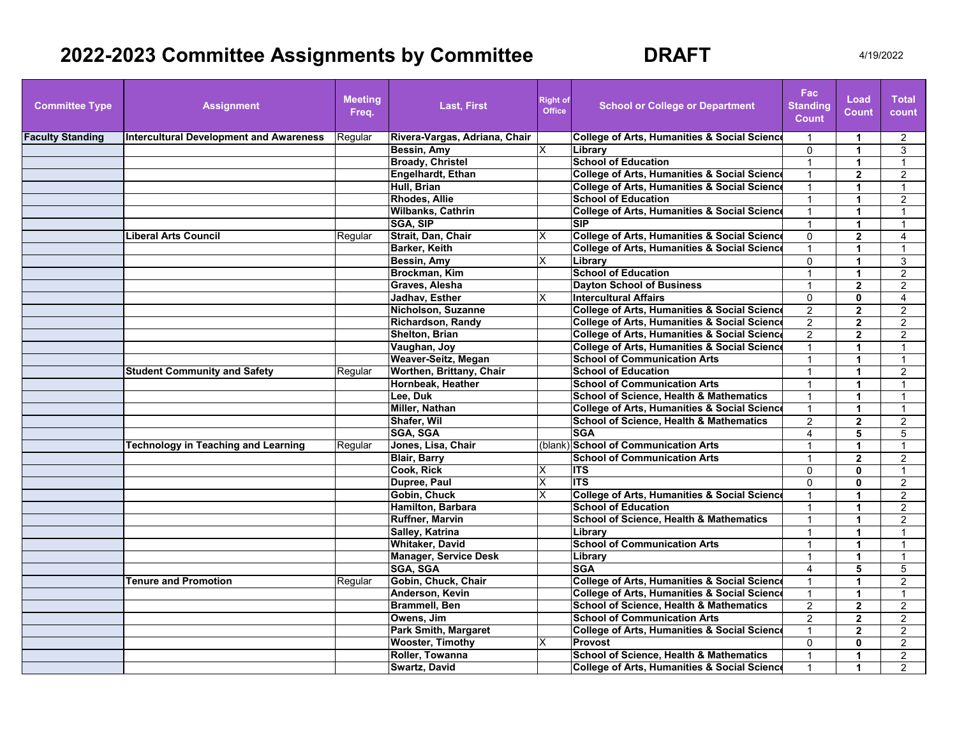## **2022-2023 Committee Assignments by Committee BRAFT** 4/19/2022

| <b>Committee Type</b>   | <b>Assignment</b>                              | <b>Meeting</b><br>Freq. | <b>Last, First</b>            | <b>Right of</b><br><b>Office</b> | <b>School or College or Department</b>                  | Fac:<br><b>Standing</b><br><b>Count</b> | Load<br>Count        | <b>Total</b><br>count |
|-------------------------|------------------------------------------------|-------------------------|-------------------------------|----------------------------------|---------------------------------------------------------|-----------------------------------------|----------------------|-----------------------|
| <b>Faculty Standing</b> | <b>Intercultural Development and Awareness</b> | Regular                 | Rivera-Vargas, Adriana, Chair |                                  | <b>College of Arts, Humanities &amp; Social Science</b> | $\mathbf{1}$                            | 1                    | 2                     |
|                         |                                                |                         | Bessin, Amy                   | X                                | Library                                                 | $\Omega$                                | $\blacktriangleleft$ | 3                     |
|                         |                                                |                         | <b>Broady, Christel</b>       |                                  | <b>School of Education</b>                              | 1                                       | 1                    |                       |
|                         |                                                |                         | Engelhardt, Ethan             |                                  | <b>College of Arts, Humanities &amp; Social Science</b> | 1                                       | $\overline{2}$       | $\overline{2}$        |
|                         |                                                |                         | Hull, Brian                   |                                  | <b>College of Arts, Humanities &amp; Social Science</b> | $\overline{1}$                          | 1                    | $\mathbf{1}$          |
|                         |                                                |                         | <b>Rhodes, Allie</b>          |                                  | <b>School of Education</b>                              |                                         | 1                    | 2                     |
|                         |                                                |                         | <b>Wilbanks, Cathrin</b>      |                                  | <b>College of Arts, Humanities &amp; Social Science</b> | $\overline{1}$                          | $\blacktriangleleft$ | $\overline{1}$        |
|                         |                                                |                         | <b>SGA, SIP</b>               |                                  | <b>SIP</b>                                              | $\mathbf{1}$                            | $\blacktriangleleft$ | $\mathbf{1}$          |
|                         | <b>Liberal Arts Council</b>                    | Regular                 | Strait, Dan, Chair            | X                                | <b>College of Arts, Humanities &amp; Social Science</b> | $\Omega$                                | $\overline{2}$       | 4                     |
|                         |                                                |                         | <b>Barker, Keith</b>          |                                  | <b>College of Arts, Humanities &amp; Social Science</b> | $\mathbf{1}$                            | 1                    | $\mathbf{1}$          |
|                         |                                                |                         | Bessin, Amy                   | X                                | Library                                                 | $\Omega$                                | 1                    | 3                     |
|                         |                                                |                         | Brockman, Kim                 |                                  | <b>School of Education</b>                              | $\overline{1}$                          | 1                    | $\overline{2}$        |
|                         |                                                |                         | Graves, Alesha                |                                  | <b>Dayton School of Business</b>                        | $\overline{1}$                          | $\mathbf{z}$         | $\overline{2}$        |
|                         |                                                |                         | <b>Jadhav. Esther</b>         | X                                | <b>Intercultural Affairs</b>                            | $\Omega$                                | $\bf{0}$             | 4                     |
|                         |                                                |                         | Nicholson, Suzanne            |                                  | <b>College of Arts, Humanities &amp; Social Scienc</b>  | $\overline{2}$                          | $\mathbf{2}$         | $\overline{c}$        |
|                         |                                                |                         | <b>Richardson, Randy</b>      |                                  | <b>College of Arts, Humanities &amp; Social Science</b> | $\overline{2}$                          | $\overline{2}$       | $\overline{c}$        |
|                         |                                                |                         | Shelton, Brian                |                                  | <b>College of Arts, Humanities &amp; Social Science</b> | 2                                       | $\overline{2}$       | $\overline{2}$        |
|                         |                                                |                         | Vaughan, Joy                  |                                  | <b>College of Arts, Humanities &amp; Social Science</b> | $\overline{1}$                          | 1                    | $\mathbf{1}$          |
|                         |                                                |                         | Weaver-Seitz, Megan           |                                  | <b>School of Communication Arts</b>                     | $\overline{1}$                          | $\mathbf 1$          | $\mathbf{1}$          |
|                         | <b>Student Community and Safety</b>            | Regular                 | Worthen, Brittany, Chair      |                                  | <b>School of Education</b>                              | $\mathbf{1}$                            | 1                    | $\overline{2}$        |
|                         |                                                |                         | Hornbeak, Heather             |                                  | <b>School of Communication Arts</b>                     | 1                                       | 1                    | $\mathbf 1$           |
|                         |                                                |                         | Lee. Duk                      |                                  | <b>School of Science. Health &amp; Mathematics</b>      | $\overline{1}$                          | $\blacktriangleleft$ | $\overline{1}$        |
|                         |                                                |                         | <b>Miller, Nathan</b>         |                                  | <b>College of Arts, Humanities &amp; Social Science</b> | $\overline{1}$                          | 1                    | $\mathbf 1$           |
|                         |                                                |                         | Shafer, Wil                   |                                  | <b>School of Science, Health &amp; Mathematics</b>      | 2                                       | $\overline{2}$       | $\overline{2}$        |
|                         |                                                |                         | SGA, SGA                      |                                  | <b>SGA</b>                                              | $\overline{\mathbf{4}}$                 | 5                    | 5                     |
|                         | <b>Technology in Teaching and Learning</b>     | Regular                 | Jones, Lisa, Chair            |                                  | (blank) School of Communication Arts                    | $\overline{1}$                          | $\blacktriangleleft$ | $\overline{1}$        |
|                         |                                                |                         | <b>Blair, Barry</b>           |                                  | <b>School of Communication Arts</b>                     | 1                                       | $\mathbf{2}$         | 2                     |
|                         |                                                |                         | Cook, Rick                    | X                                | <b>ITS</b>                                              | $\Omega$                                | $\mathbf{0}$         |                       |
|                         |                                                |                         | Dupree, Paul                  | X                                | <b>ITS</b>                                              | $\mathbf 0$                             | O                    | $\overline{c}$        |
|                         |                                                |                         | Gobin, Chuck                  | х                                | <b>College of Arts, Humanities &amp; Social Science</b> | $\mathbf 1$                             | 1                    | $\overline{2}$        |
|                         |                                                |                         | Hamilton, Barbara             |                                  | <b>School of Education</b>                              |                                         | 1                    | $\overline{2}$        |
|                         |                                                |                         | <b>Ruffner, Marvin</b>        |                                  | <b>School of Science, Health &amp; Mathematics</b>      | $\mathbf 1$                             | $\blacktriangleleft$ | $\overline{2}$        |
|                         |                                                |                         | Salley, Katrina               |                                  | Library                                                 | $\mathbf{1}$                            | $\mathbf{1}$         | $\mathbf{1}$          |
|                         |                                                |                         | <b>Whitaker, David</b>        |                                  | <b>School of Communication Arts</b>                     | $\overline{1}$                          | 1                    | $\mathbf{1}$          |
|                         |                                                |                         | <b>Manager, Service Desk</b>  |                                  | Library                                                 | $\mathbf{1}$                            | $\blacktriangleleft$ | $\mathbf{1}$          |
|                         |                                                |                         | SGA, SGA                      |                                  | <b>SGA</b>                                              | 4                                       | 5                    | 5                     |
|                         | <b>Tenure and Promotion</b>                    | Regular                 | Gobin, Chuck, Chair           |                                  | <b>College of Arts, Humanities &amp; Social Science</b> | $\mathbf{1}$                            | $\blacktriangleleft$ | $\overline{2}$        |
|                         |                                                |                         | Anderson, Kevin               |                                  | <b>College of Arts, Humanities &amp; Social Science</b> | $\overline{1}$                          | 1                    | $\mathbf{1}$          |
|                         |                                                |                         | <b>Brammell, Ben</b>          |                                  | <b>School of Science. Health &amp; Mathematics</b>      | 2                                       | $\overline{2}$       | $\overline{2}$        |
|                         |                                                |                         | Owens, Jim                    |                                  | <b>School of Communication Arts</b>                     | $\overline{2}$                          | $\overline{2}$       | 2                     |
|                         |                                                |                         | <b>Park Smith, Margaret</b>   |                                  | <b>College of Arts, Humanities &amp; Social Science</b> | $\overline{1}$                          | $\overline{2}$       | $\overline{2}$        |
|                         |                                                |                         | <b>Wooster, Timothy</b>       | X                                | Provost                                                 | $\mathbf 0$                             | $\mathbf{0}$         | $\overline{2}$        |
|                         |                                                |                         | Roller, Towanna               |                                  | <b>School of Science, Health &amp; Mathematics</b>      | $\overline{1}$                          | 1                    | $\overline{2}$        |
|                         |                                                |                         | Swartz, David                 |                                  | <b>College of Arts, Humanities &amp; Social Science</b> | $\overline{1}$                          | 1                    | $\overline{2}$        |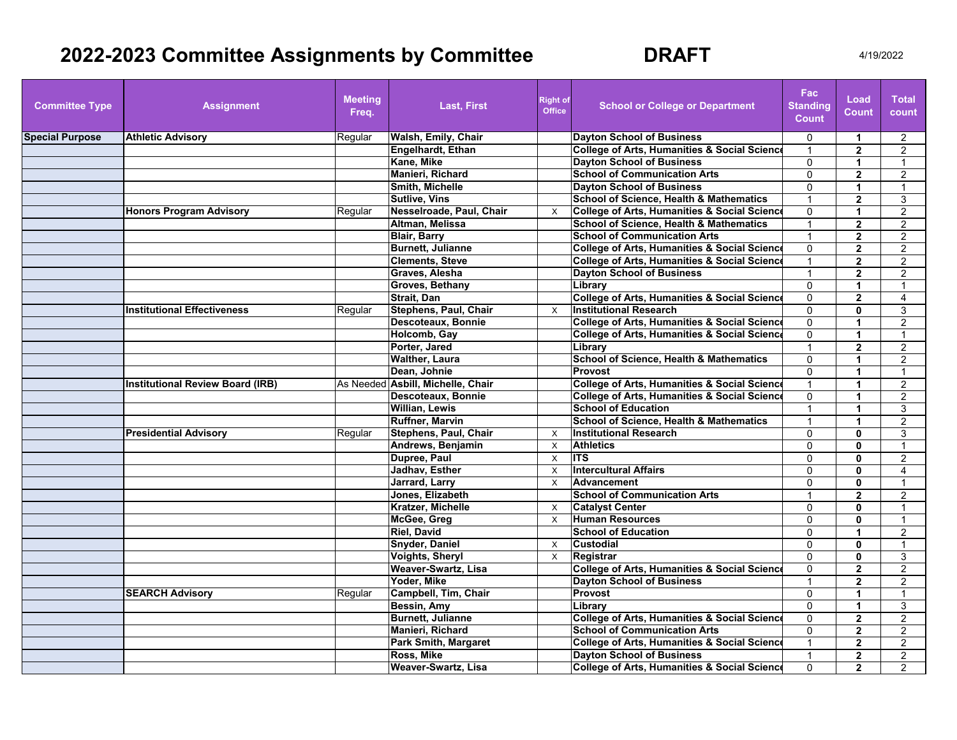## **2022-2023 Committee Assignments by Committee 6 6 6 6 6 6 6 6 7 4/19/2022**

| <b>Committee Type</b>  | <b>Assignment</b>                       | <b>Meeting</b><br>Freq. | <b>Last, First</b>                | <b>Right of</b><br><b>Office</b> | <b>School or College or Department</b>                  | Fac<br><b>Standing</b><br><b>Count</b> | Load<br><b>Count</b> | <b>Total</b><br>count |
|------------------------|-----------------------------------------|-------------------------|-----------------------------------|----------------------------------|---------------------------------------------------------|----------------------------------------|----------------------|-----------------------|
| <b>Special Purpose</b> | <b>Athletic Advisory</b>                | Regular                 | Walsh, Emily, Chair               |                                  | <b>Dayton School of Business</b>                        | $\mathbf 0$                            | -1                   | $\overline{2}$        |
|                        |                                         |                         | <b>Engelhardt, Ethan</b>          |                                  | <b>College of Arts, Humanities &amp; Social Science</b> | $\overline{1}$                         | $\overline{2}$       | $\overline{2}$        |
|                        |                                         |                         | Kane, Mike                        |                                  | <b>Dayton School of Business</b>                        | $\Omega$                               | 1                    | 1                     |
|                        |                                         |                         | <b>Manieri, Richard</b>           |                                  | <b>School of Communication Arts</b>                     | $\Omega$                               | $\overline{2}$       | $\overline{2}$        |
|                        |                                         |                         | Smith, Michelle                   |                                  | <b>Dayton School of Business</b>                        | $\mathbf 0$                            | 1                    | $\mathbf 1$           |
|                        |                                         |                         | <b>Sutlive, Vins</b>              |                                  | <b>School of Science, Health &amp; Mathematics</b>      |                                        | $\overline{2}$       | 3                     |
|                        | <b>Honors Program Advisory</b>          | Regular                 | Nesselroade, Paul, Chair          | $\times$                         | College of Arts, Humanities & Social Science            | $\mathbf{0}$                           | 1                    | 2                     |
|                        |                                         |                         | Altman, Melissa                   |                                  | <b>School of Science. Health &amp; Mathematics</b>      | $\overline{1}$                         | $\overline{2}$       | $\overline{2}$        |
|                        |                                         |                         | <b>Blair, Barry</b>               |                                  | <b>School of Communication Arts</b>                     | $\overline{1}$                         | $\mathbf{2}$         | $\overline{2}$        |
|                        |                                         |                         | <b>Burnett, Julianne</b>          |                                  | <b>College of Arts, Humanities &amp; Social Science</b> | $\mathbf{0}$                           | $\mathbf{2}$         | $\overline{2}$        |
|                        |                                         |                         | <b>Clements, Steve</b>            |                                  | <b>College of Arts, Humanities &amp; Social Science</b> | $\overline{1}$                         | $\overline{2}$       | 2                     |
|                        |                                         |                         | Graves, Alesha                    |                                  | <b>Davton School of Business</b>                        |                                        | $\mathbf{2}$         | $\overline{2}$        |
|                        |                                         |                         | Groves, Bethany                   |                                  | Library                                                 | $\Omega$                               | 1                    |                       |
|                        |                                         |                         | Strait, Dan                       |                                  | <b>College of Arts, Humanities &amp; Social Science</b> | $\mathbf 0$                            | $\overline{2}$       | $\overline{4}$        |
|                        | <b>Institutional Effectiveness</b>      | Regular                 | <b>Stephens, Paul, Chair</b>      | $\times$                         | <b>Institutional Research</b>                           | $\Omega$                               | 0                    | 3                     |
|                        |                                         |                         | Descoteaux, Bonnie                |                                  | <b>College of Arts, Humanities &amp; Social Science</b> | $\mathbf{0}$                           | 1                    | $\overline{2}$        |
|                        |                                         |                         | Holcomb, Gay                      |                                  | <b>College of Arts, Humanities &amp; Social Science</b> | $\mathbf 0$                            | $\blacktriangleleft$ | $\mathbf{1}$          |
|                        |                                         |                         | Porter, Jared                     |                                  | Library                                                 | $\mathbf{1}$                           | $\overline{2}$       | $\overline{2}$        |
|                        |                                         |                         | <b>Walther, Laura</b>             |                                  | <b>School of Science, Health &amp; Mathematics</b>      | $\Omega$                               | 1                    | $\overline{2}$        |
|                        |                                         |                         | Dean. Johnie                      |                                  | Provost                                                 | $\Omega$                               | 1                    | $\mathbf{1}$          |
|                        | <b>Institutional Review Board (IRB)</b> |                         | As Needed Asbill, Michelle, Chair |                                  | <b>College of Arts, Humanities &amp; Social Science</b> |                                        |                      | 2                     |
|                        |                                         |                         | <b>Descoteaux, Bonnie</b>         |                                  | <b>College of Arts, Humanities &amp; Social Science</b> | $\Omega$                               |                      | $\overline{2}$        |
|                        |                                         |                         | <b>Willian, Lewis</b>             |                                  | <b>School of Education</b>                              | $\overline{1}$                         | 1                    | 3                     |
|                        |                                         |                         | <b>Ruffner, Marvin</b>            |                                  | <b>School of Science. Health &amp; Mathematics</b>      | $\mathbf 1$                            | 1                    | $\overline{2}$        |
|                        | <b>Presidential Advisory</b>            | Regular                 | <b>Stephens, Paul, Chair</b>      | $\times$                         | <b>Institutional Research</b>                           | $\Omega$                               | $\mathbf{0}$         | 3                     |
|                        |                                         |                         | Andrews, Benjamin                 | $\times$                         | <b>Athletics</b>                                        | $\mathbf 0$                            | $\mathbf{0}$         | $\mathbf{1}$          |
|                        |                                         |                         | Dupree, Paul                      | $\mathsf{x}$                     | <b>ITS</b>                                              | $\mathbf{0}$                           | $\mathbf{0}$         | 2                     |
|                        |                                         |                         | Jadhav, Esther                    | $\times$                         | <b>Intercultural Affairs</b>                            | $\mathbf{0}$                           | $\mathbf{0}$         | 4                     |
|                        |                                         |                         | <b>Jarrard, Larry</b>             | $\mathsf{X}$                     | <b>Advancement</b>                                      | $\Omega$                               | $\mathbf{0}$         |                       |
|                        |                                         |                         | Jones, Elizabeth                  |                                  | <b>School of Communication Arts</b>                     |                                        | $\overline{2}$       | $\overline{2}$        |
|                        |                                         |                         | Kratzer, Michelle                 | X                                | <b>Catalyst Center</b>                                  | $\Omega$                               | $\mathbf{0}$         | 1                     |
|                        |                                         |                         | McGee, Greg                       | $\times$                         | <b>Human Resources</b>                                  | $\mathbf{0}$                           | $\mathbf{0}$         | $\mathbf{1}$          |
|                        |                                         |                         | <b>Riel, David</b>                |                                  | <b>School of Education</b>                              | $\mathbf 0$                            | $\blacktriangleleft$ | $\overline{2}$        |
|                        |                                         |                         | <b>Snyder, Daniel</b>             | $\times$                         | <b>Custodial</b>                                        | $\mathbf{0}$                           | $\mathbf{0}$         | $\mathbf{1}$          |
|                        |                                         |                         | Voights, Sheryl                   | $\times$                         | Registrar                                               | $\mathbf{0}$                           | $\mathbf{0}$         | 3                     |
|                        |                                         |                         | Weaver-Swartz, Lisa               |                                  | <b>College of Arts, Humanities &amp; Social Science</b> | $\mathbf{0}$                           | $\overline{2}$       | $\overline{2}$        |
|                        |                                         |                         | Yoder. Mike                       |                                  | <b>Davton School of Business</b>                        | $\overline{1}$                         | $\mathbf{2}$         | $\overline{2}$        |
|                        | <b>SEARCH Advisory</b>                  | Regular                 | Campbell, Tim, Chair              |                                  | Provost                                                 | $\Omega$                               |                      |                       |
|                        |                                         |                         | Bessin, Amy                       |                                  | Library                                                 | $\mathbf 0$                            | 1                    | 3                     |
|                        |                                         |                         | <b>Burnett, Julianne</b>          |                                  | <b>College of Arts, Humanities &amp; Social Science</b> | $\mathbf{0}$                           | $\overline{2}$       | $\overline{2}$        |
|                        |                                         |                         | Manieri, Richard                  |                                  | <b>School of Communication Arts</b>                     | $\Omega$                               | $\overline{2}$       | $\overline{2}$        |
|                        |                                         |                         | <b>Park Smith, Margaret</b>       |                                  | <b>College of Arts, Humanities &amp; Social Science</b> | $\overline{1}$                         | $\overline{2}$       | $\overline{2}$        |
|                        |                                         |                         | Ross, Mike                        |                                  | <b>Dayton School of Business</b>                        | $\overline{1}$                         | $\overline{2}$       | 2                     |
|                        |                                         |                         | Weaver-Swartz, Lisa               |                                  | College of Arts, Humanities & Social Science            | $\mathbf{0}$                           | $\overline{2}$       | 2                     |